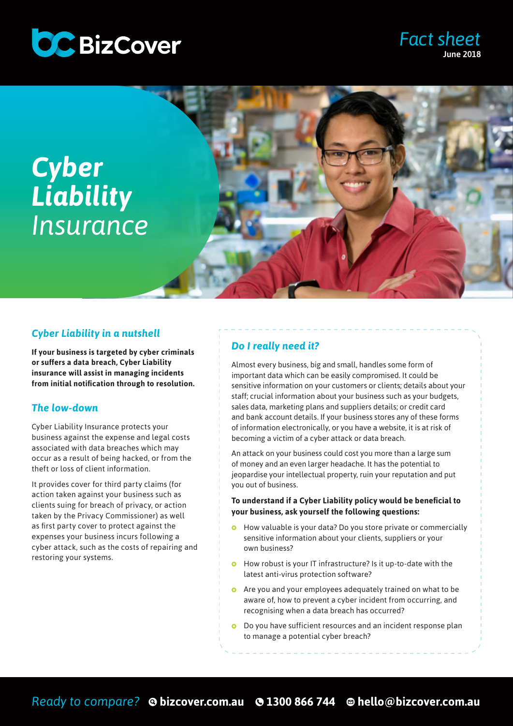





## *Cyber Liability in a nutshell*

**If your business is targeted by cyber criminals or suffers a data breach, Cyber Liability insurance will assist in managing incidents from initial notification through to resolution.** 

#### *The low-down*

Cyber Liability Insurance protects your business against the expense and legal costs associated with data breaches which may occur as a result of being hacked, or from the theft or loss of client information.

It provides cover for third party claims (for action taken against your business such as clients suing for breach of privacy, or action taken by the Privacy Commissioner) as well as first party cover to protect against the expenses your business incurs following a cyber attack, such as the costs of repairing and restoring your systems.

# *Do I really need it?*

Almost every business, big and small, handles some form of important data which can be easily compromised. It could be sensitive information on your customers or clients; details about your staff; crucial information about your business such as your budgets, sales data, marketing plans and suppliers details; or credit card and bank account details. If your business stores any of these forms of information electronically, or you have a website, it is at risk of becoming a victim of a cyber attack or data breach.

An attack on your business could cost you more than a large sum of money and an even larger headache. It has the potential to jeopardise your intellectual property, ruin your reputation and put you out of business.

#### **To understand if a Cyber Liability policy would be beneficial to your business, ask yourself the following questions:**

- How valuable is your data? Do you store private or commercially sensitive information about your clients, suppliers or your own business?
- **O** How robust is your IT infrastructure? Is it up-to-date with the latest anti-virus protection software?
- Are you and your employees adequately trained on what to be aware of, how to prevent a cyber incident from occurring, and recognising when a data breach has occurred?
- Do you have sufficient resources and an incident response plan to manage a potential cyber breach?